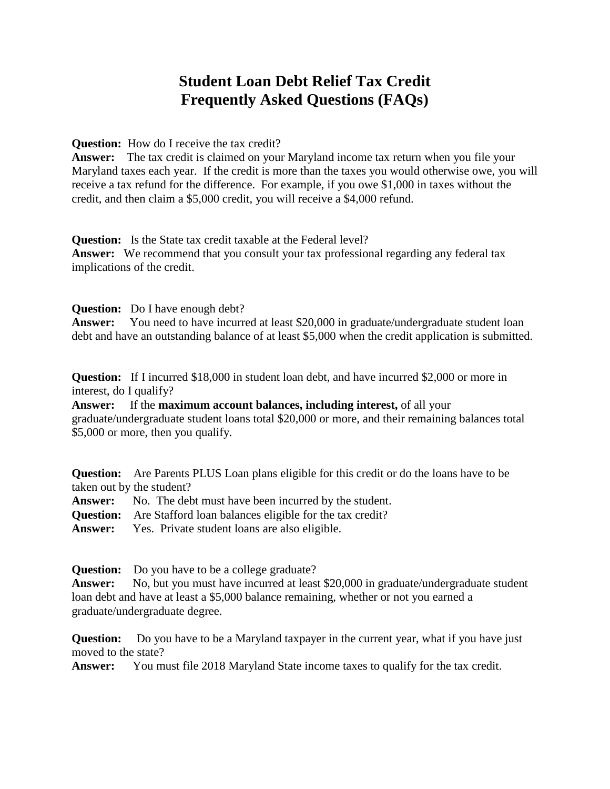## **Student Loan Debt Relief Tax Credit Frequently Asked Questions (FAQs)**

**Question:** How do I receive the tax credit?

**Answer:** The tax credit is claimed on your Maryland income tax return when you file your Maryland taxes each year. If the credit is more than the taxes you would otherwise owe, you will receive a tax refund for the difference. For example, if you owe \$1,000 in taxes without the credit, and then claim a \$5,000 credit, you will receive a \$4,000 refund.

**Question:** Is the State tax credit taxable at the Federal level?

**Answer:** We recommend that you consult your tax professional regarding any federal tax implications of the credit.

**Question:** Do I have enough debt?

**Answer:** You need to have incurred at least \$20,000 in graduate/undergraduate student loan debt and have an outstanding balance of at least \$5,000 when the credit application is submitted.

**Question:** If I incurred \$18,000 in student loan debt, and have incurred \$2,000 or more in interest, do I qualify?

**Answer:** If the **maximum account balances, including interest,** of all your graduate/undergraduate student loans total \$20,000 or more, and their remaining balances total \$5,000 or more, then you qualify.

**Question:** Are Parents PLUS Loan plans eligible for this credit or do the loans have to be taken out by the student?

**Answer:** No. The debt must have been incurred by the student.

**Question:** Are Stafford loan balances eligible for the tax credit?

**Answer:** Yes. Private student loans are also eligible.

**Question:** Do you have to be a college graduate?

Answer: No, but you must have incurred at least \$20,000 in graduate/undergraduate student loan debt and have at least a \$5,000 balance remaining, whether or not you earned a graduate/undergraduate degree.

**Question:** Do you have to be a Maryland taxpayer in the current year, what if you have just moved to the state?

**Answer:** You must file 2018 Maryland State income taxes to qualify for the tax credit.